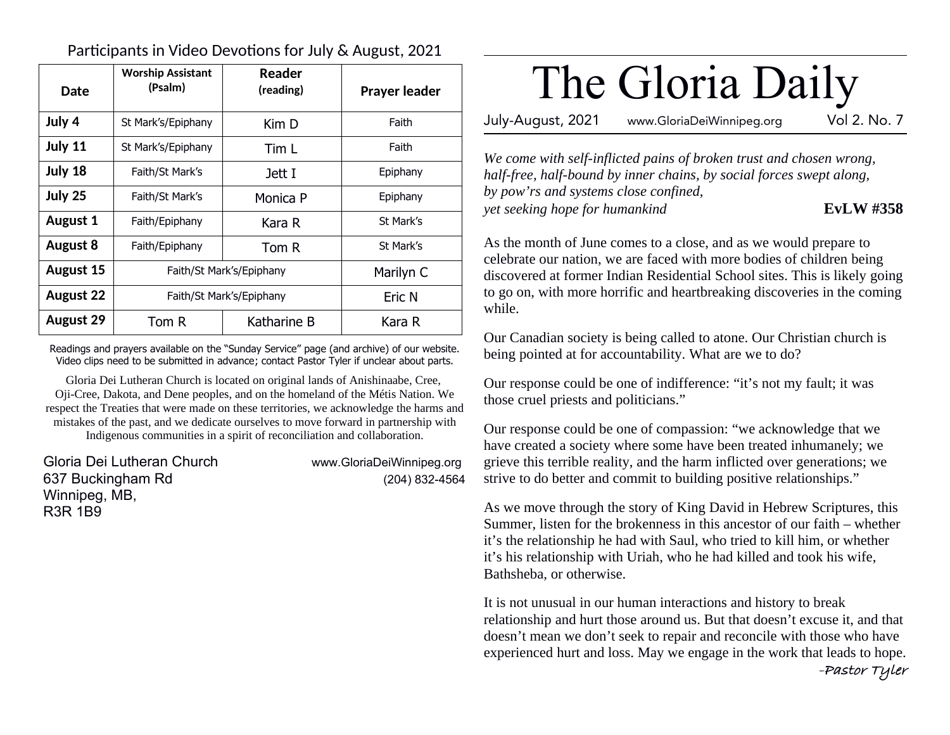Participants in Video Devotions for July & August, 2021

| Date             | <b>Worship Assistant</b><br>(Psalm) | Reader<br>(reading) | <b>Prayer leader</b> |
|------------------|-------------------------------------|---------------------|----------------------|
| July 4           | St Mark's/Epiphany                  | Kim D               | Faith                |
| July 11          | St Mark's/Epiphany                  | Tim L               | Faith                |
| July 18          | Faith/St Mark's                     | Jett I              | Epiphany             |
| July 25          | Faith/St Mark's                     | Monica P            | Epiphany             |
| <b>August 1</b>  | Faith/Epiphany                      | Kara R              | St Mark's            |
| August 8         | Faith/Epiphany                      | Tom R               | St Mark's            |
| August 15        | Faith/St Mark's/Epiphany            |                     | Marilyn C            |
| <b>August 22</b> | Faith/St Mark's/Epiphany            |                     | Eric N               |
| <b>August 29</b> | Tom R                               | Katharine B         | Kara R               |

Readings and prayers available on the "Sunday Service" page (and archive) of our website. Video clips need to be submitted in advance; contact Pastor Tyler if unclear about parts.

Gloria Dei Lutheran Church is located on original lands of Anishinaabe, Cree, Oji-Cree, Dakota, and Dene peoples, and on the homeland of the Métis Nation. We respect the Treaties that were made on these territories, we acknowledge the harms and mistakes of the past, and we dedicate ourselves to move forward in partnership with Indigenous communities in a spirit of reconciliation and collaboration.

Gloria Dei Lutheran Church www.GloriaDeiWinnipeg.org 637 Buckingham Rd (204) 832-4564 Winnipeg, MB, R3R 1B9

# The Gloria Daily

July-August, 2021 www.GloriaDeiWinnipeg.org Vol 2. No. 7

*We come with self-inflicted pains of broken trust and chosen wrong, half-free, half-bound by inner chains, by social forces swept along, by pow'rs and systems close confined, yet seeking hope for humankind* **EvLW #358** 

As the month of June comes to a close, and as we would prepare to celebrate our nation, we are faced with more bodies of children being discovered at former Indian Residential School sites. This is likely going to go on, with more horrific and heartbreaking discoveries in the coming while.

Our Canadian society is being called to atone. Our Christian church is being pointed at for accountability. What are we to do?

Our response could be one of indifference: "it's not my fault; it was those cruel priests and politicians."

Our response could be one of compassion: "we acknowledge that we have created a society where some have been treated inhumanely; we grieve this terrible reality, and the harm inflicted over generations; we strive to do better and commit to building positive relationships."

As we move through the story of King David in Hebrew Scriptures, this Summer, listen for the brokenness in this ancestor of our faith – whether it's the relationship he had with Saul, who tried to kill him, or whether it's his relationship with Uriah, who he had killed and took his wife, Bathsheba, or otherwise.

It is not unusual in our human interactions and history to break relationship and hurt those around us. But that doesn't excuse it, and that doesn't mean we don't seek to repair and reconcile with those who have experienced hurt and loss. May we engage in the work that leads to hope. **-Pastor Tyler**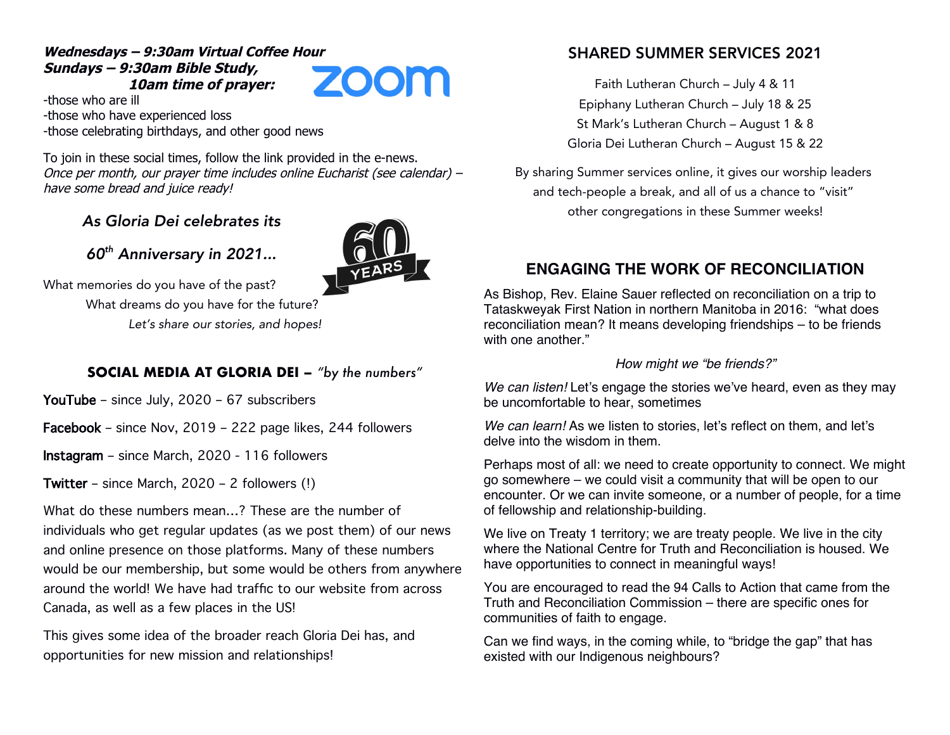#### **Wednesdays – 9:30am Virtual Coffee Hour Sundays – 9:30am Bible Study, 10am time of prayer:**

**ZOOM** 

-those who are ill -those who have experienced loss -those celebrating birthdays, and other good news

To join in these social times, follow the link provided in the e-news. Once per month, our prayer time includes online Eucharist (see calendar) – have some bread and juice ready!

### As Gloria Dei celebrates its



60th Anniversary in 2021...

What memories do you have of the past? What dreams do you have for the future? Let's share our stories, and hopes!

#### **SOCIAL MEDIA AT GLORIA DEI –** *"by the numbers"*

YouTube – since July, 2020 – 67 subscribers

Facebook – since Nov, 2019 – 222 page likes, 244 followers

Instagram – since March, 2020 - 116 followers

Twitter – since March, 2020 – 2 followers (!)

What do these numbers mean…? These are the number of individuals who get regular updates (as we post them) of our news and online presence on those platforms. Many of these numbers would be our membership, but some would be others from anywhere around the world! We have had traffic to our website from across Canada, as well as a few places in the US!

This gives some idea of the broader reach Gloria Dei has, and opportunities for new mission and relationships!

### SHARED SUMMER SERVICES 2021

Faith Lutheran Church – July 4 & 11 Epiphany Lutheran Church – July 18 & 25 St Mark's Lutheran Church – August 1 & 8 Gloria Dei Lutheran Church – August 15 & 22

By sharing Summer services online, it gives our worship leaders and tech-people a break, and all of us a chance to "visit" other congregations in these Summer weeks!

## **ENGAGING THE WORK OF RECONCILIATION**

As Bishop, Rev. Elaine Sauer reflected on reconciliation on a trip to Tataskweyak First Nation in northern Manitoba in 2016: "what does reconciliation mean? It means developing friendships – to be friends with one another."

#### How might we "be friends?"

We can listen! Let's engage the stories we've heard, even as they may be uncomfortable to hear, sometimes

We can learn! As we listen to stories, let's reflect on them, and let's delve into the wisdom in them.

Perhaps most of all: we need to create opportunity to connect. We might go somewhere – we could visit a community that will be open to our encounter. Or we can invite someone, or a number of people, for a time of fellowship and relationship-building.

We live on Treaty 1 territory; we are treaty people. We live in the city where the National Centre for Truth and Reconciliation is housed. We have opportunities to connect in meaningful ways!

You are encouraged to read the 94 Calls to Action that came from the Truth and Reconciliation Commission – there are specific ones for communities of faith to engage.

Can we find ways, in the coming while, to "bridge the gap" that has existed with our Indigenous neighbours?